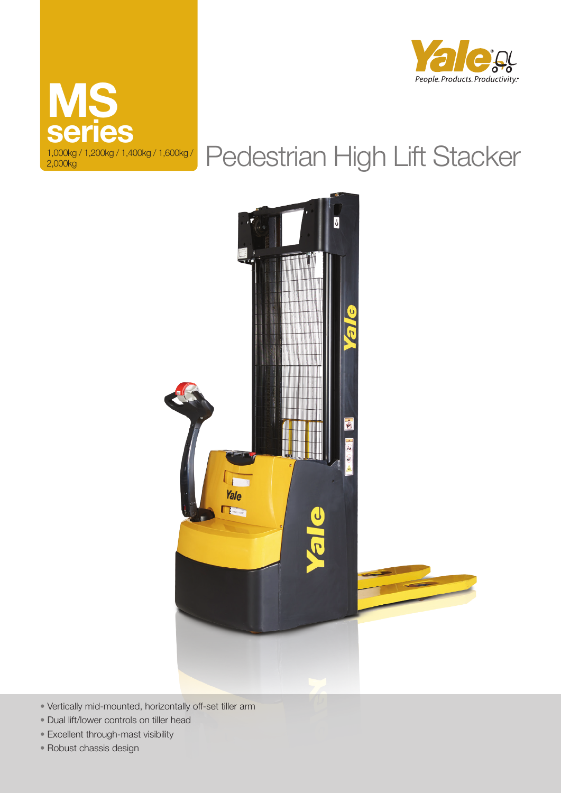



# Pedestrian High Lift Stacker



- Vertically mid-mounted, horizontally off-set tiller arm
- Dual lift/lower controls on tiller head
- Excellent through-mast visibility
- Robust chassis design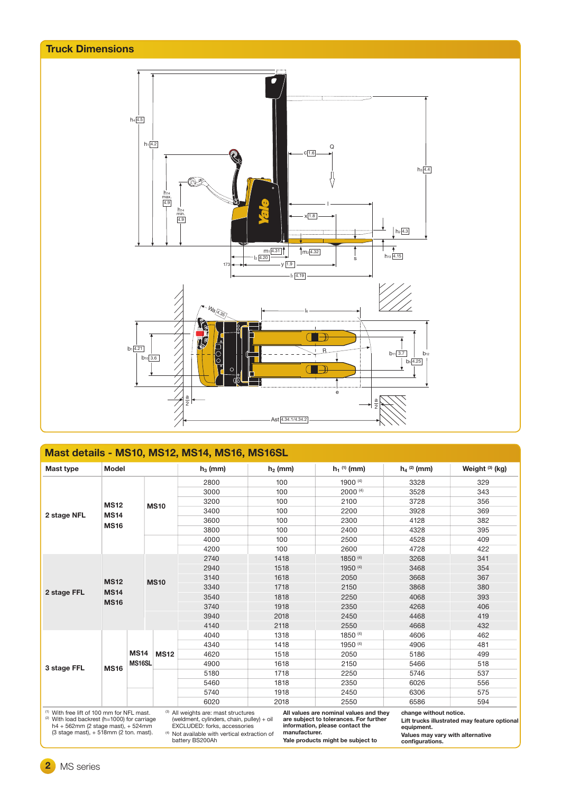

| Mast details - MS10, MS12, MS14, MS16, MS16SL         |             |                       |             |                                      |              |                                        |                           |                   |
|-------------------------------------------------------|-------------|-----------------------|-------------|--------------------------------------|--------------|----------------------------------------|---------------------------|-------------------|
| Mast type                                             |             | <b>Model</b>          |             | $h_3$ (mm)                           | $h_2$ (mm)   | $h_1$ <sup>(1)</sup> (mm)              | $h_4$ <sup>(2)</sup> (mm) | Weight $(3)$ (kg) |
|                                                       |             |                       |             | 2800                                 | 100          | 1900 $(4)$                             | 3328                      | 329               |
|                                                       |             |                       |             | 3000                                 | 100          | $2000$ <sup>(4)</sup>                  | 3528                      | 343               |
|                                                       | <b>MS12</b> |                       | <b>MS10</b> | 3200                                 | 100          | 2100                                   | 3728                      | 356               |
| 2 stage NFL                                           | <b>MS14</b> |                       |             | 3400                                 | 100          | 2200                                   | 3928                      | 369               |
|                                                       |             |                       |             | 3600                                 | 100<br>2300  |                                        | 4128                      | 382               |
|                                                       | <b>MS16</b> |                       |             | 3800                                 | 100          | 2400                                   | 4328                      | 395               |
|                                                       |             |                       |             | 4000                                 | 100<br>2500  |                                        | 4528                      | 409               |
|                                                       |             |                       |             | 4200                                 | 100          | 2600                                   | 4728                      | 422               |
|                                                       |             |                       | <b>MS10</b> | 2740                                 | 1418         | 1850 (4)                               | 3268                      | 341               |
|                                                       | <b>MS12</b> |                       |             | 2940                                 | 1518         | 1950 (4)                               | 3468                      | 354               |
|                                                       |             |                       |             | 3140                                 | 1618         | 2050                                   | 3668                      | 367               |
|                                                       |             |                       |             | 3340                                 | 1718<br>2150 |                                        | 3868                      | 380               |
| 2 stage FFL                                           | <b>MS14</b> |                       |             | 3540                                 | 1818         | 2250                                   | 4068                      | 393               |
|                                                       | <b>MS16</b> |                       |             | 3740                                 | 1918         | 2350                                   | 4268                      | 406               |
|                                                       |             |                       |             | 3940                                 | 2018         | 2450                                   | 4468                      | 419               |
|                                                       |             |                       |             | 4140                                 | 2118         | 2550                                   | 4668                      | 432               |
|                                                       | <b>MS16</b> |                       | <b>MS12</b> | 4040                                 | 1318         | 1850 (4)                               | 4606                      | 462               |
|                                                       |             | <b>MS14</b><br>MS16SL |             | 4340                                 | 1418         | 1950 (4)                               | 4906                      | 481               |
|                                                       |             |                       |             | 4620                                 | 1518         | 2050                                   | 5186                      | 499               |
| 3 stage FFL                                           |             |                       |             | 4900                                 | 1618         | 2150                                   | 5466                      | 518               |
|                                                       |             |                       |             | 5180                                 | 1718         | 2250                                   | 5746                      | 537               |
|                                                       |             |                       |             | 5460                                 | 1818         | 2350                                   | 6026                      | 556               |
|                                                       |             |                       |             | 5740                                 | 1918         | 2450                                   | 6306                      | 575               |
|                                                       |             |                       |             | 6020                                 | 2018         | 2550                                   | 6586                      | 594               |
| <sup>(1)</sup> With free lift of 100 mm for NFL mast. |             |                       |             | (3) All weights are: mast structures |              | All values are nominal values and they | change without notice.    |                   |

(1) With free lift of 100 mm for NFL mast. (2) With load backrest (h=1000) for carriage h4 + 562mm (2 stage mast), + 524mm (3 stage mast), + 518mm (2 ton. mast).

(3) All weights are: mast structures (weldment, cylinders, chain, pulley) + oil EXCLUDED: forks, accessories

**Yale products might be subject to** 

**All values are nominal values and they are subject to tolerances. For further information, please contact the manufacturer.**

**Lift trucks illustrated may feature optional** 

**equipment. Values may vary with alternative configurations.**

(4) Not available with vertical extraction of battery BS200Ah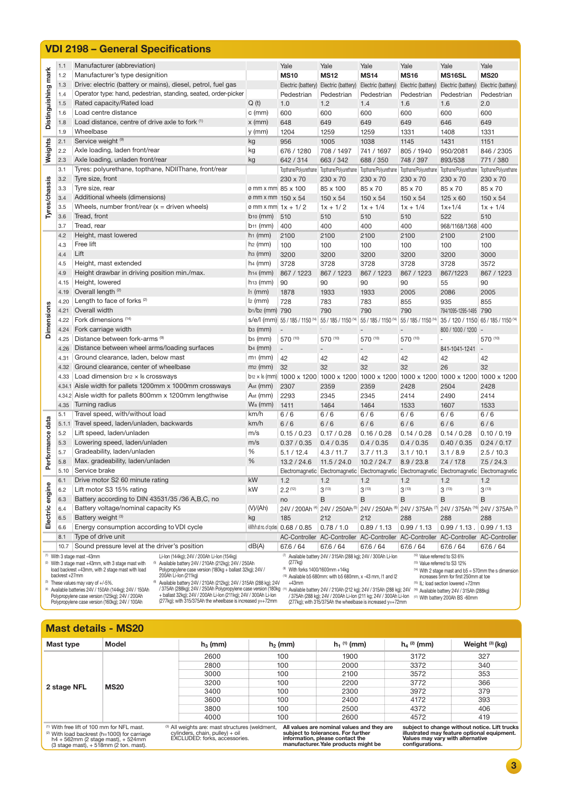|                     |                                                                                                                                                                                                                                                                                                                                                                                                                                                                                                                                                                                                                                                                                                                                                                                                                                                                                                                                                                                                                                                                                                                                                                                                                                                                                                                                                                                                                                                                                                                                                                                                                      | <b>VDI 2198 - General Specifications</b>                                                 |                             |                                             |                          |                          |                      |                                                                                                                                                                                                                                                                                                                                                                                                                                                                                                                                                                                                                                                                                                                                                                                                                                                                                                                                                         |                    |
|---------------------|----------------------------------------------------------------------------------------------------------------------------------------------------------------------------------------------------------------------------------------------------------------------------------------------------------------------------------------------------------------------------------------------------------------------------------------------------------------------------------------------------------------------------------------------------------------------------------------------------------------------------------------------------------------------------------------------------------------------------------------------------------------------------------------------------------------------------------------------------------------------------------------------------------------------------------------------------------------------------------------------------------------------------------------------------------------------------------------------------------------------------------------------------------------------------------------------------------------------------------------------------------------------------------------------------------------------------------------------------------------------------------------------------------------------------------------------------------------------------------------------------------------------------------------------------------------------------------------------------------------------|------------------------------------------------------------------------------------------|-----------------------------|---------------------------------------------|--------------------------|--------------------------|----------------------|---------------------------------------------------------------------------------------------------------------------------------------------------------------------------------------------------------------------------------------------------------------------------------------------------------------------------------------------------------------------------------------------------------------------------------------------------------------------------------------------------------------------------------------------------------------------------------------------------------------------------------------------------------------------------------------------------------------------------------------------------------------------------------------------------------------------------------------------------------------------------------------------------------------------------------------------------------|--------------------|
|                     | 1.1                                                                                                                                                                                                                                                                                                                                                                                                                                                                                                                                                                                                                                                                                                                                                                                                                                                                                                                                                                                                                                                                                                                                                                                                                                                                                                                                                                                                                                                                                                                                                                                                                  | Manufacturer (abbreviation)                                                              |                             | Yale                                        | Yale                     | Yale                     | Yale                 |                                                                                                                                                                                                                                                                                                                                                                                                                                                                                                                                                                                                                                                                                                                                                                                                                                                                                                                                                         | Yale               |
| Distinguishing mark | 1.2                                                                                                                                                                                                                                                                                                                                                                                                                                                                                                                                                                                                                                                                                                                                                                                                                                                                                                                                                                                                                                                                                                                                                                                                                                                                                                                                                                                                                                                                                                                                                                                                                  | Manufacturer's type designition                                                          |                             | <b>MS10</b>                                 | <b>MS12</b>              | <b>MS14</b>              | <b>MS16</b>          |                                                                                                                                                                                                                                                                                                                                                                                                                                                                                                                                                                                                                                                                                                                                                                                                                                                                                                                                                         | <b>MS20</b>        |
|                     | 1.3                                                                                                                                                                                                                                                                                                                                                                                                                                                                                                                                                                                                                                                                                                                                                                                                                                                                                                                                                                                                                                                                                                                                                                                                                                                                                                                                                                                                                                                                                                                                                                                                                  | Drive: electric (battery or mains), diesel, petrol, fuel gas                             |                             | Electric (battery)                          | Electric (battery)       | Electric (battery)       | Electric (battery)   |                                                                                                                                                                                                                                                                                                                                                                                                                                                                                                                                                                                                                                                                                                                                                                                                                                                                                                                                                         | Electric (battery) |
|                     | 1.4                                                                                                                                                                                                                                                                                                                                                                                                                                                                                                                                                                                                                                                                                                                                                                                                                                                                                                                                                                                                                                                                                                                                                                                                                                                                                                                                                                                                                                                                                                                                                                                                                  | Operator type: hand, pedestrian, standing, seated, order-picker                          |                             | Pedestrian                                  | Pedestrian               | Pedestrian               | Pedestrian           |                                                                                                                                                                                                                                                                                                                                                                                                                                                                                                                                                                                                                                                                                                                                                                                                                                                                                                                                                         | Pedestrian         |
|                     | 1.5                                                                                                                                                                                                                                                                                                                                                                                                                                                                                                                                                                                                                                                                                                                                                                                                                                                                                                                                                                                                                                                                                                                                                                                                                                                                                                                                                                                                                                                                                                                                                                                                                  | Rated capacity/Rated load                                                                | Q(t)                        | 1.0                                         | 1.2                      | 1.4                      | 1.6                  |                                                                                                                                                                                                                                                                                                                                                                                                                                                                                                                                                                                                                                                                                                                                                                                                                                                                                                                                                         | 2.0                |
|                     | 1.6                                                                                                                                                                                                                                                                                                                                                                                                                                                                                                                                                                                                                                                                                                                                                                                                                                                                                                                                                                                                                                                                                                                                                                                                                                                                                                                                                                                                                                                                                                                                                                                                                  | Load centre distance                                                                     | $c$ (mm)                    | 600                                         | 600                      | 600                      | 600                  |                                                                                                                                                                                                                                                                                                                                                                                                                                                                                                                                                                                                                                                                                                                                                                                                                                                                                                                                                         | 600                |
|                     | 1.8                                                                                                                                                                                                                                                                                                                                                                                                                                                                                                                                                                                                                                                                                                                                                                                                                                                                                                                                                                                                                                                                                                                                                                                                                                                                                                                                                                                                                                                                                                                                                                                                                  | Load distance, centre of drive axle to fork (1)                                          | $x$ (mm)                    | 648                                         | 649                      | 649                      | 649                  |                                                                                                                                                                                                                                                                                                                                                                                                                                                                                                                                                                                                                                                                                                                                                                                                                                                                                                                                                         | 649                |
|                     | 1.9                                                                                                                                                                                                                                                                                                                                                                                                                                                                                                                                                                                                                                                                                                                                                                                                                                                                                                                                                                                                                                                                                                                                                                                                                                                                                                                                                                                                                                                                                                                                                                                                                  | Wheelbase                                                                                | $y$ (mm)                    | 1204                                        | 1259                     | 1259                     | 1331                 |                                                                                                                                                                                                                                                                                                                                                                                                                                                                                                                                                                                                                                                                                                                                                                                                                                                                                                                                                         | 1331               |
|                     | 2.1                                                                                                                                                                                                                                                                                                                                                                                                                                                                                                                                                                                                                                                                                                                                                                                                                                                                                                                                                                                                                                                                                                                                                                                                                                                                                                                                                                                                                                                                                                                                                                                                                  | Service weight (9)                                                                       | kg                          | 956                                         | 1005                     | 1038                     | 1145                 |                                                                                                                                                                                                                                                                                                                                                                                                                                                                                                                                                                                                                                                                                                                                                                                                                                                                                                                                                         | 1151               |
| Weights             | 2.2                                                                                                                                                                                                                                                                                                                                                                                                                                                                                                                                                                                                                                                                                                                                                                                                                                                                                                                                                                                                                                                                                                                                                                                                                                                                                                                                                                                                                                                                                                                                                                                                                  | Axle loading, laden front/rear                                                           | kg                          | 676 / 1280                                  | 708 / 1497               | 741 / 1697               | 805 / 1940           |                                                                                                                                                                                                                                                                                                                                                                                                                                                                                                                                                                                                                                                                                                                                                                                                                                                                                                                                                         | 846 / 2305         |
|                     | 2.3                                                                                                                                                                                                                                                                                                                                                                                                                                                                                                                                                                                                                                                                                                                                                                                                                                                                                                                                                                                                                                                                                                                                                                                                                                                                                                                                                                                                                                                                                                                                                                                                                  | Axle loading, unladen front/rear                                                         | kg                          | 642 / 314                                   | 663 / 342                | 688 / 350                | 748 / 397            | Yale<br><b>MS16SL</b><br>Electric (battery)<br>Pedestrian<br>1.6<br>600<br>646<br>1408<br>1431<br>950/2081<br>893/538<br>Topthane/Polyurethane   Topthane/Polyurethane   Topthane/Polyurethane   Topthane/Polyurethane   Topthane/Polyurethane   Topthane/Polyurethane   Topthane/Polyurethane<br>230 x 70<br>85 x 70<br>$125 \times 60$<br>$1x+1/4$<br>522<br>2100<br>100<br>3200<br>3728<br>867/1223<br>55<br>2086<br>935<br>42<br>26<br>$\frac{\text{b12}}{\text{b12}}$ k (mm) 1000 x 1200 1000 x 1200 1000 x 1200 1000 x 1200 1000 x 1200 1000 x 1200<br>2504<br>2490<br>1607<br>6/6<br>6/6<br>0.14 / 0.28<br>0.40 / 0.35<br>3.1 / 8.9<br>7.4 / 17.8<br>Electromagnetic Electromagnetic Electromagnetic Electromagnetic Electromagnetic Electromagnetic<br>1.2<br>$3^{(13)}$<br>B<br>24V / 375Ah (7) 24V / 375Ah (16)<br>288<br>$0.99 / 1.13$ .<br>AC-Controller AC-Controller AC-Controller AC-Controller AC-Controller AC-Controller<br>67.6 / 64 | 771/380            |
|                     | 3.1                                                                                                                                                                                                                                                                                                                                                                                                                                                                                                                                                                                                                                                                                                                                                                                                                                                                                                                                                                                                                                                                                                                                                                                                                                                                                                                                                                                                                                                                                                                                                                                                                  | Tyres: polyurethane, topthane, NDIIThane, front/rear                                     |                             |                                             |                          |                          |                      |                                                                                                                                                                                                                                                                                                                                                                                                                                                                                                                                                                                                                                                                                                                                                                                                                                                                                                                                                         |                    |
|                     | 3.2                                                                                                                                                                                                                                                                                                                                                                                                                                                                                                                                                                                                                                                                                                                                                                                                                                                                                                                                                                                                                                                                                                                                                                                                                                                                                                                                                                                                                                                                                                                                                                                                                  | Tyre size, front                                                                         |                             | 230 x 70                                    | 230 x 70                 | 230 x 70                 | 230 x 70             |                                                                                                                                                                                                                                                                                                                                                                                                                                                                                                                                                                                                                                                                                                                                                                                                                                                                                                                                                         | 230 x 70           |
|                     | 3.3                                                                                                                                                                                                                                                                                                                                                                                                                                                                                                                                                                                                                                                                                                                                                                                                                                                                                                                                                                                                                                                                                                                                                                                                                                                                                                                                                                                                                                                                                                                                                                                                                  | Tyre size, rear                                                                          | ø mm x mm 85 x 100          |                                             | 85 x 100                 | 85 x 70                  | 85 x 70              |                                                                                                                                                                                                                                                                                                                                                                                                                                                                                                                                                                                                                                                                                                                                                                                                                                                                                                                                                         | 85 x 70            |
| Tyres/chassis       | 3.4                                                                                                                                                                                                                                                                                                                                                                                                                                                                                                                                                                                                                                                                                                                                                                                                                                                                                                                                                                                                                                                                                                                                                                                                                                                                                                                                                                                                                                                                                                                                                                                                                  | Additional wheels (dimensions)                                                           | ø mm x mm 150 x 54          |                                             | $150 \times 54$          | 150 x 54                 | 150 x 54             |                                                                                                                                                                                                                                                                                                                                                                                                                                                                                                                                                                                                                                                                                                                                                                                                                                                                                                                                                         | 150 x 54           |
|                     | 3.5                                                                                                                                                                                                                                                                                                                                                                                                                                                                                                                                                                                                                                                                                                                                                                                                                                                                                                                                                                                                                                                                                                                                                                                                                                                                                                                                                                                                                                                                                                                                                                                                                  | Wheels, number front/rear $(x =$ driven wheels)                                          | $\sigma$ mm x mm $1x + 1/2$ |                                             | $1x + 1/2$               | $1x + 1/4$               | $1x + 1/4$           |                                                                                                                                                                                                                                                                                                                                                                                                                                                                                                                                                                                                                                                                                                                                                                                                                                                                                                                                                         | $1x + 1/4$         |
|                     | 3.6                                                                                                                                                                                                                                                                                                                                                                                                                                                                                                                                                                                                                                                                                                                                                                                                                                                                                                                                                                                                                                                                                                                                                                                                                                                                                                                                                                                                                                                                                                                                                                                                                  | Tread, front                                                                             | $b_{10}$ (mm)               | 510                                         | 510                      | 510                      | 510                  |                                                                                                                                                                                                                                                                                                                                                                                                                                                                                                                                                                                                                                                                                                                                                                                                                                                                                                                                                         | 510                |
|                     | 3.7                                                                                                                                                                                                                                                                                                                                                                                                                                                                                                                                                                                                                                                                                                                                                                                                                                                                                                                                                                                                                                                                                                                                                                                                                                                                                                                                                                                                                                                                                                                                                                                                                  | Tread, rear                                                                              | $b_{11}$ (mm)               | 400                                         | 400                      | 400                      | 400                  | 968/1168/1368                                                                                                                                                                                                                                                                                                                                                                                                                                                                                                                                                                                                                                                                                                                                                                                                                                                                                                                                           | 400                |
|                     | 4.2                                                                                                                                                                                                                                                                                                                                                                                                                                                                                                                                                                                                                                                                                                                                                                                                                                                                                                                                                                                                                                                                                                                                                                                                                                                                                                                                                                                                                                                                                                                                                                                                                  | Height, mast lowered                                                                     | $h_1$ (mm)                  | 2100                                        | 2100                     | 2100                     | 2100                 |                                                                                                                                                                                                                                                                                                                                                                                                                                                                                                                                                                                                                                                                                                                                                                                                                                                                                                                                                         | 2100               |
|                     | 4.3                                                                                                                                                                                                                                                                                                                                                                                                                                                                                                                                                                                                                                                                                                                                                                                                                                                                                                                                                                                                                                                                                                                                                                                                                                                                                                                                                                                                                                                                                                                                                                                                                  | Free lift                                                                                | $h_2$ (mm)                  | 100                                         | 100                      | 100                      | 100                  |                                                                                                                                                                                                                                                                                                                                                                                                                                                                                                                                                                                                                                                                                                                                                                                                                                                                                                                                                         | 100                |
|                     | 4.4                                                                                                                                                                                                                                                                                                                                                                                                                                                                                                                                                                                                                                                                                                                                                                                                                                                                                                                                                                                                                                                                                                                                                                                                                                                                                                                                                                                                                                                                                                                                                                                                                  | Lift                                                                                     | hs(mm)                      | 3200                                        | 3200                     | 3200                     | 3200                 |                                                                                                                                                                                                                                                                                                                                                                                                                                                                                                                                                                                                                                                                                                                                                                                                                                                                                                                                                         | 3000               |
|                     | 4.5                                                                                                                                                                                                                                                                                                                                                                                                                                                                                                                                                                                                                                                                                                                                                                                                                                                                                                                                                                                                                                                                                                                                                                                                                                                                                                                                                                                                                                                                                                                                                                                                                  | Height, mast extended                                                                    | $h_4$ (mm)                  | 3728                                        | 3728                     | 3728                     | 3728                 |                                                                                                                                                                                                                                                                                                                                                                                                                                                                                                                                                                                                                                                                                                                                                                                                                                                                                                                                                         | 3572               |
|                     | 4.9                                                                                                                                                                                                                                                                                                                                                                                                                                                                                                                                                                                                                                                                                                                                                                                                                                                                                                                                                                                                                                                                                                                                                                                                                                                                                                                                                                                                                                                                                                                                                                                                                  | Height drawbar in driving position min./max.                                             | $h14$ (mm)                  | 867 / 1223                                  | 867 / 1223               | 867 / 1223               | 867 / 1223           |                                                                                                                                                                                                                                                                                                                                                                                                                                                                                                                                                                                                                                                                                                                                                                                                                                                                                                                                                         | 867 / 1223         |
|                     | 4.15                                                                                                                                                                                                                                                                                                                                                                                                                                                                                                                                                                                                                                                                                                                                                                                                                                                                                                                                                                                                                                                                                                                                                                                                                                                                                                                                                                                                                                                                                                                                                                                                                 | Height, lowered                                                                          | h <sub>13</sub> (mm)        | 90                                          | 90                       | 90                       | 90                   |                                                                                                                                                                                                                                                                                                                                                                                                                                                                                                                                                                                                                                                                                                                                                                                                                                                                                                                                                         | 90                 |
|                     | 4.19                                                                                                                                                                                                                                                                                                                                                                                                                                                                                                                                                                                                                                                                                                                                                                                                                                                                                                                                                                                                                                                                                                                                                                                                                                                                                                                                                                                                                                                                                                                                                                                                                 | Overall length <sup>(2)</sup>                                                            | $11$ (mm)                   | 1878                                        | 1933                     | 1933                     | 2005                 |                                                                                                                                                                                                                                                                                                                                                                                                                                                                                                                                                                                                                                                                                                                                                                                                                                                                                                                                                         | 2005               |
|                     | 4.20                                                                                                                                                                                                                                                                                                                                                                                                                                                                                                                                                                                                                                                                                                                                                                                                                                                                                                                                                                                                                                                                                                                                                                                                                                                                                                                                                                                                                                                                                                                                                                                                                 | Length to face of forks <sup>(2)</sup>                                                   | $l_2$ (mm)                  | 728                                         | 783                      | 783                      | 855                  |                                                                                                                                                                                                                                                                                                                                                                                                                                                                                                                                                                                                                                                                                                                                                                                                                                                                                                                                                         | 855                |
|                     | 4.21                                                                                                                                                                                                                                                                                                                                                                                                                                                                                                                                                                                                                                                                                                                                                                                                                                                                                                                                                                                                                                                                                                                                                                                                                                                                                                                                                                                                                                                                                                                                                                                                                 | Overall width                                                                            | $b_1/b_2$ (mm) 790          |                                             | 790                      | 790                      | 790                  | 794/1095-1295-1495 790                                                                                                                                                                                                                                                                                                                                                                                                                                                                                                                                                                                                                                                                                                                                                                                                                                                                                                                                  |                    |
| <b>Dimensions</b>   | 4.22                                                                                                                                                                                                                                                                                                                                                                                                                                                                                                                                                                                                                                                                                                                                                                                                                                                                                                                                                                                                                                                                                                                                                                                                                                                                                                                                                                                                                                                                                                                                                                                                                 | Fork dimensions (14)                                                                     |                             | s/e/l (mm) 55 / 185 / 1150 (14)             | 55 / 185 / 1150 (14)     | 55 / 185 / 1150 (14      | 55 / 185 / 1150 (14) | 35 / 120 / 1150 65 / 185 / 1150 (14)                                                                                                                                                                                                                                                                                                                                                                                                                                                                                                                                                                                                                                                                                                                                                                                                                                                                                                                    |                    |
|                     | 4.24                                                                                                                                                                                                                                                                                                                                                                                                                                                                                                                                                                                                                                                                                                                                                                                                                                                                                                                                                                                                                                                                                                                                                                                                                                                                                                                                                                                                                                                                                                                                                                                                                 | Fork carriage width                                                                      | $bs$ (mm)                   |                                             |                          |                          |                      | 800 / 1000 / 1200 -                                                                                                                                                                                                                                                                                                                                                                                                                                                                                                                                                                                                                                                                                                                                                                                                                                                                                                                                     |                    |
|                     | 4.25                                                                                                                                                                                                                                                                                                                                                                                                                                                                                                                                                                                                                                                                                                                                                                                                                                                                                                                                                                                                                                                                                                                                                                                                                                                                                                                                                                                                                                                                                                                                                                                                                 | Distance between fork-arms (9)                                                           | $bs$ (mm)                   | 570 (10)                                    | 570 (10)                 | 570 (10)                 | 570 (10)             |                                                                                                                                                                                                                                                                                                                                                                                                                                                                                                                                                                                                                                                                                                                                                                                                                                                                                                                                                         | 570 (10)           |
|                     | 4.26                                                                                                                                                                                                                                                                                                                                                                                                                                                                                                                                                                                                                                                                                                                                                                                                                                                                                                                                                                                                                                                                                                                                                                                                                                                                                                                                                                                                                                                                                                                                                                                                                 | Distance between wheel arms/loading surfaces                                             | $b4$ (mm)                   | $\overline{\phantom{a}}$                    | $\overline{\phantom{a}}$ | $\qquad \qquad -$        | $\qquad \qquad -$    | 841-1041-1241                                                                                                                                                                                                                                                                                                                                                                                                                                                                                                                                                                                                                                                                                                                                                                                                                                                                                                                                           |                    |
|                     | 4.31                                                                                                                                                                                                                                                                                                                                                                                                                                                                                                                                                                                                                                                                                                                                                                                                                                                                                                                                                                                                                                                                                                                                                                                                                                                                                                                                                                                                                                                                                                                                                                                                                 | Ground clearance, laden, below mast                                                      | $m1$ (mm)                   | 42                                          | 42                       | 42                       | 42                   |                                                                                                                                                                                                                                                                                                                                                                                                                                                                                                                                                                                                                                                                                                                                                                                                                                                                                                                                                         | 42                 |
|                     | 4.32                                                                                                                                                                                                                                                                                                                                                                                                                                                                                                                                                                                                                                                                                                                                                                                                                                                                                                                                                                                                                                                                                                                                                                                                                                                                                                                                                                                                                                                                                                                                                                                                                 | Ground clearance, center of wheelbase                                                    | $m2$ (mm)                   | 32                                          | 32                       | 32                       | 32                   |                                                                                                                                                                                                                                                                                                                                                                                                                                                                                                                                                                                                                                                                                                                                                                                                                                                                                                                                                         | 32                 |
|                     | 4.33                                                                                                                                                                                                                                                                                                                                                                                                                                                                                                                                                                                                                                                                                                                                                                                                                                                                                                                                                                                                                                                                                                                                                                                                                                                                                                                                                                                                                                                                                                                                                                                                                 | Load dimension $b_{12} \times b$ crossways                                               |                             |                                             |                          |                          |                      |                                                                                                                                                                                                                                                                                                                                                                                                                                                                                                                                                                                                                                                                                                                                                                                                                                                                                                                                                         |                    |
|                     |                                                                                                                                                                                                                                                                                                                                                                                                                                                                                                                                                                                                                                                                                                                                                                                                                                                                                                                                                                                                                                                                                                                                                                                                                                                                                                                                                                                                                                                                                                                                                                                                                      | 4.34.1 Aisle width for pallets 1200mm x 1000mm crossways                                 | $Ast$ (mm)                  | 2307                                        | 2359                     | 2359                     | 2428                 |                                                                                                                                                                                                                                                                                                                                                                                                                                                                                                                                                                                                                                                                                                                                                                                                                                                                                                                                                         | 2428               |
|                     |                                                                                                                                                                                                                                                                                                                                                                                                                                                                                                                                                                                                                                                                                                                                                                                                                                                                                                                                                                                                                                                                                                                                                                                                                                                                                                                                                                                                                                                                                                                                                                                                                      | 4.34.2 Aisle width for pallets 800mm x 1200mm lengthwise                                 | Ast (mm)                    | 2293                                        | 2345                     | 2345                     | 2414                 |                                                                                                                                                                                                                                                                                                                                                                                                                                                                                                                                                                                                                                                                                                                                                                                                                                                                                                                                                         | 2414               |
|                     | 4.35                                                                                                                                                                                                                                                                                                                                                                                                                                                                                                                                                                                                                                                                                                                                                                                                                                                                                                                                                                                                                                                                                                                                                                                                                                                                                                                                                                                                                                                                                                                                                                                                                 | Turning radius                                                                           | Wa (mm)                     | 1411                                        | 1464                     | 1464                     | 1533                 |                                                                                                                                                                                                                                                                                                                                                                                                                                                                                                                                                                                                                                                                                                                                                                                                                                                                                                                                                         | 1533               |
|                     | 5.1                                                                                                                                                                                                                                                                                                                                                                                                                                                                                                                                                                                                                                                                                                                                                                                                                                                                                                                                                                                                                                                                                                                                                                                                                                                                                                                                                                                                                                                                                                                                                                                                                  | Travel speed, with/without load                                                          | km/h                        | 6/6                                         | 6/6                      | 6/6                      | 6/6                  |                                                                                                                                                                                                                                                                                                                                                                                                                                                                                                                                                                                                                                                                                                                                                                                                                                                                                                                                                         | 6/6                |
|                     | 5.1.1                                                                                                                                                                                                                                                                                                                                                                                                                                                                                                                                                                                                                                                                                                                                                                                                                                                                                                                                                                                                                                                                                                                                                                                                                                                                                                                                                                                                                                                                                                                                                                                                                | Travel speed, laden/unladen, backwards                                                   | km/h                        | 6/6                                         | 6/6                      | 6/6                      | 6/6                  |                                                                                                                                                                                                                                                                                                                                                                                                                                                                                                                                                                                                                                                                                                                                                                                                                                                                                                                                                         | 6/6                |
|                     | 5.2                                                                                                                                                                                                                                                                                                                                                                                                                                                                                                                                                                                                                                                                                                                                                                                                                                                                                                                                                                                                                                                                                                                                                                                                                                                                                                                                                                                                                                                                                                                                                                                                                  | Lift speed, laden/unladen                                                                | m/s                         | 0.15 / 0.23                                 | 0.17 / 0.28              | 0.16 / 0.28              | 0.14 / 0.28          |                                                                                                                                                                                                                                                                                                                                                                                                                                                                                                                                                                                                                                                                                                                                                                                                                                                                                                                                                         | 0.10 / 0.19        |
|                     | 5.3                                                                                                                                                                                                                                                                                                                                                                                                                                                                                                                                                                                                                                                                                                                                                                                                                                                                                                                                                                                                                                                                                                                                                                                                                                                                                                                                                                                                                                                                                                                                                                                                                  | Lowering speed, laden/unladen                                                            | m/s                         | 0.37 / 0.35                                 | 0.4 / 0.35               | 0.4 / 0.35               | 0.4 / 0.35           |                                                                                                                                                                                                                                                                                                                                                                                                                                                                                                                                                                                                                                                                                                                                                                                                                                                                                                                                                         | 0.24 / 0.17        |
| erformance data     | 5.7                                                                                                                                                                                                                                                                                                                                                                                                                                                                                                                                                                                                                                                                                                                                                                                                                                                                                                                                                                                                                                                                                                                                                                                                                                                                                                                                                                                                                                                                                                                                                                                                                  | Gradeability, laden/unladen                                                              | ℅                           | 5.1 / 12.4                                  | 4.3 / 11.7               | 3.7 / 11.3               | 3.1 / 10.1           |                                                                                                                                                                                                                                                                                                                                                                                                                                                                                                                                                                                                                                                                                                                                                                                                                                                                                                                                                         | 2.5 / 10.3         |
| õ.                  | 5.8                                                                                                                                                                                                                                                                                                                                                                                                                                                                                                                                                                                                                                                                                                                                                                                                                                                                                                                                                                                                                                                                                                                                                                                                                                                                                                                                                                                                                                                                                                                                                                                                                  | Max. gradeability, laden/unladen                                                         | %                           | $13.2 / 24.6$ 11.5 / 24.0                   |                          | $10.2 / 24.7$ 8.9 / 23.8 |                      |                                                                                                                                                                                                                                                                                                                                                                                                                                                                                                                                                                                                                                                                                                                                                                                                                                                                                                                                                         | 7.5 / 24.3         |
|                     | 5.10                                                                                                                                                                                                                                                                                                                                                                                                                                                                                                                                                                                                                                                                                                                                                                                                                                                                                                                                                                                                                                                                                                                                                                                                                                                                                                                                                                                                                                                                                                                                                                                                                 | Service brake                                                                            |                             |                                             |                          |                          |                      |                                                                                                                                                                                                                                                                                                                                                                                                                                                                                                                                                                                                                                                                                                                                                                                                                                                                                                                                                         |                    |
|                     | 6.1                                                                                                                                                                                                                                                                                                                                                                                                                                                                                                                                                                                                                                                                                                                                                                                                                                                                                                                                                                                                                                                                                                                                                                                                                                                                                                                                                                                                                                                                                                                                                                                                                  | Drive motor S2 60 minute rating                                                          | kW                          | 1.2                                         | 1.2                      | 1.2                      | 1.2                  |                                                                                                                                                                                                                                                                                                                                                                                                                                                                                                                                                                                                                                                                                                                                                                                                                                                                                                                                                         | 1.2                |
| Electric engine     | 6.2                                                                                                                                                                                                                                                                                                                                                                                                                                                                                                                                                                                                                                                                                                                                                                                                                                                                                                                                                                                                                                                                                                                                                                                                                                                                                                                                                                                                                                                                                                                                                                                                                  | Lift motor S3 15% rating                                                                 | kW                          | 2.2(12)                                     | $3^{(13)}$               | $3^{(13)}$               | $3^{(13)}$           |                                                                                                                                                                                                                                                                                                                                                                                                                                                                                                                                                                                                                                                                                                                                                                                                                                                                                                                                                         | 3(13)              |
|                     | 6.3                                                                                                                                                                                                                                                                                                                                                                                                                                                                                                                                                                                                                                                                                                                                                                                                                                                                                                                                                                                                                                                                                                                                                                                                                                                                                                                                                                                                                                                                                                                                                                                                                  | Battery according to DIN 43531/35 /36 A, B, C, no<br>Battery voltage/nominal capacity K5 |                             | no                                          | В                        | B                        | B                    |                                                                                                                                                                                                                                                                                                                                                                                                                                                                                                                                                                                                                                                                                                                                                                                                                                                                                                                                                         | В                  |
|                     | 6.4                                                                                                                                                                                                                                                                                                                                                                                                                                                                                                                                                                                                                                                                                                                                                                                                                                                                                                                                                                                                                                                                                                                                                                                                                                                                                                                                                                                                                                                                                                                                                                                                                  | Battery weight (3)                                                                       | (V)/(Ah)                    | 24V / 200Ah (4)                             | 24V / 250Ah (5)          | 24V / 250Ah (6)          |                      |                                                                                                                                                                                                                                                                                                                                                                                                                                                                                                                                                                                                                                                                                                                                                                                                                                                                                                                                                         | 24V / 375Ah (7)    |
|                     | 6.5<br>6.6                                                                                                                                                                                                                                                                                                                                                                                                                                                                                                                                                                                                                                                                                                                                                                                                                                                                                                                                                                                                                                                                                                                                                                                                                                                                                                                                                                                                                                                                                                                                                                                                           | Energy consumption according to VDI cycle                                                | kg                          | 185<br>kWh/h at no. of cycles   0.68 / 0.85 | 212<br>0.78 / 1.0        | 212<br>0.89 / 1.13       | 288<br>0.99 / 1.13   |                                                                                                                                                                                                                                                                                                                                                                                                                                                                                                                                                                                                                                                                                                                                                                                                                                                                                                                                                         | 288<br>0.99 / 1.13 |
|                     | 8.1                                                                                                                                                                                                                                                                                                                                                                                                                                                                                                                                                                                                                                                                                                                                                                                                                                                                                                                                                                                                                                                                                                                                                                                                                                                                                                                                                                                                                                                                                                                                                                                                                  | Type of drive unit                                                                       |                             |                                             |                          |                          |                      |                                                                                                                                                                                                                                                                                                                                                                                                                                                                                                                                                                                                                                                                                                                                                                                                                                                                                                                                                         |                    |
|                     | 10.7                                                                                                                                                                                                                                                                                                                                                                                                                                                                                                                                                                                                                                                                                                                                                                                                                                                                                                                                                                                                                                                                                                                                                                                                                                                                                                                                                                                                                                                                                                                                                                                                                 | Sound pressure level at the driver's position                                            | dB(A)                       | 67.6 / 64                                   | 67.6 / 64                | 67.6 / 64                | 67.6 / 64            |                                                                                                                                                                                                                                                                                                                                                                                                                                                                                                                                                                                                                                                                                                                                                                                                                                                                                                                                                         | 67.6 / 64          |
|                     |                                                                                                                                                                                                                                                                                                                                                                                                                                                                                                                                                                                                                                                                                                                                                                                                                                                                                                                                                                                                                                                                                                                                                                                                                                                                                                                                                                                                                                                                                                                                                                                                                      |                                                                                          |                             |                                             |                          |                          |                      |                                                                                                                                                                                                                                                                                                                                                                                                                                                                                                                                                                                                                                                                                                                                                                                                                                                                                                                                                         |                    |
| $\langle 3 \rangle$ | <sup>(1)</sup> With 3 stage mast -43mm<br><sup>(7)</sup> Available battery 24V / 315Ah (288 kg); 24V / 300Ah Li-lon<br><sup>(12)</sup> Value referred to S3 6%<br>Li-lon (144kg); 24V / 200Ah Li-lon (154kg)<br>(277kg)<br><sup>(2)</sup> With 3 stage mast +43mm, with 3 stage mast with<br><sup>(5)</sup> Available battery 24V / 210Ah (212kg); 24V / 250Ah<br>(13) Value referred to S3 12%<br><sup>(9)</sup> With forks 1400/1600mm +14kg<br>load backrest +43mm, with 2 stage mast with load<br>Polypropylene case version (180kg + ballast 32kg); 24V /<br>$^{(14)}$ With 2 stage mast and b5 = 570mm the s dimension<br>backrest +27mm<br>200Ah Li-Ion (211kg)<br><sup>(10)</sup> Available b5 680mm: with b5 680mm, x -43 mm, I1 and I2<br>increases 5mm for first 250mm at toe<br>(6) Available battery 24V / 210Ah (212kg); 24V / 315Ah (288 kg); 24V<br>These values may vary of +/-5%.<br>$+43$ mm<br>(15) IL: load section lowered +72mm<br>/ 375Ah (288kg); 24V / 250Ah Polypropylene case version (180kg<br>(4) Available batteries 24V / 150Ah (144kg); 24V / 150Ah<br>Available battery 24V / 210Ah (212 kg); 24V / 315Ah (288 kg); 24V<br>(16) Available battery 24V / 315Ah (288kg)<br>+ ballast 32kg); 24V / 200Ah Li-Ion (211kg); 24V / 300Ah Li-Ion<br>Polypropylene case version (125kg); 24V / 200Ah<br>/ 375Ah (288 kg); 24V / 200Ah Li-Ion (211 kg; 24V / 300Ah Li-Ion<br>(17) With battery 200Ah BS -60mm<br>(277kg); with 315/375Ah the wheelbase is increased y=+72mm<br>Polypropylene case version (160kg); 24V / 100Ah<br>(277kg); with 315/375Ah the wheelbase is increased y=+72mm |                                                                                          |                             |                                             |                          |                          |                      |                                                                                                                                                                                                                                                                                                                                                                                                                                                                                                                                                                                                                                                                                                                                                                                                                                                                                                                                                         |                    |

### **Mast details - MS20**

| Model<br>Mast type                                                                                                                                                                                               |             | $h_3$ (mm)<br>$h_2$ (mm)                                                                                               |                                                                                                                                                             | $h_1$ <sup>(1)</sup> (mm) | $h_4$ (2) (mm)                                                                                                                                      | Weight $(3)$ (kg) |
|------------------------------------------------------------------------------------------------------------------------------------------------------------------------------------------------------------------|-------------|------------------------------------------------------------------------------------------------------------------------|-------------------------------------------------------------------------------------------------------------------------------------------------------------|---------------------------|-----------------------------------------------------------------------------------------------------------------------------------------------------|-------------------|
|                                                                                                                                                                                                                  |             | 2600                                                                                                                   | 100                                                                                                                                                         | 1900                      | 3172                                                                                                                                                | 327               |
|                                                                                                                                                                                                                  |             | 2800                                                                                                                   | 100                                                                                                                                                         | 2000                      | 3372                                                                                                                                                | 340               |
|                                                                                                                                                                                                                  |             | 3000                                                                                                                   | 100                                                                                                                                                         | 2100                      | 3572                                                                                                                                                | 353               |
|                                                                                                                                                                                                                  | <b>MS20</b> | 3200                                                                                                                   | 100                                                                                                                                                         | 2200                      | 3772                                                                                                                                                | 366               |
| 2 stage NFL                                                                                                                                                                                                      |             | 3400                                                                                                                   | 100                                                                                                                                                         | 2300                      | 3972                                                                                                                                                | 379               |
|                                                                                                                                                                                                                  |             | 3600                                                                                                                   | 100                                                                                                                                                         | 2400                      | 4172                                                                                                                                                | 393               |
|                                                                                                                                                                                                                  |             | 3800                                                                                                                   | 100                                                                                                                                                         | 2500                      | 4372                                                                                                                                                | 406               |
|                                                                                                                                                                                                                  |             | 4000                                                                                                                   | 100                                                                                                                                                         | 2600                      | 4572                                                                                                                                                | 419               |
| $(1)$ With free lift of 100 mm for NFL mast.<br><sup>(2)</sup> With load backrest (h=1000) for carriage<br>$h4 + 562$ mm (2 stage mast), + 524mm<br>$(3 \text{ stage mast})$ , + 518mm $(2 \text{ ton. mast})$ . |             | (3) All weights are: mast structures (weldment,<br>cylinders, chain, $p$ ulley) + oil<br>EXCLUDED: forks. accessories. | All values are nominal values and they are<br>subject to tolerances. For further<br>information, please contact the<br>manufacturer. Yale products might be |                           | subject to change without notice. Lift trucks<br>illustrated may feature optional equipment.<br>Values may vary with alternative<br>configurations. |                   |